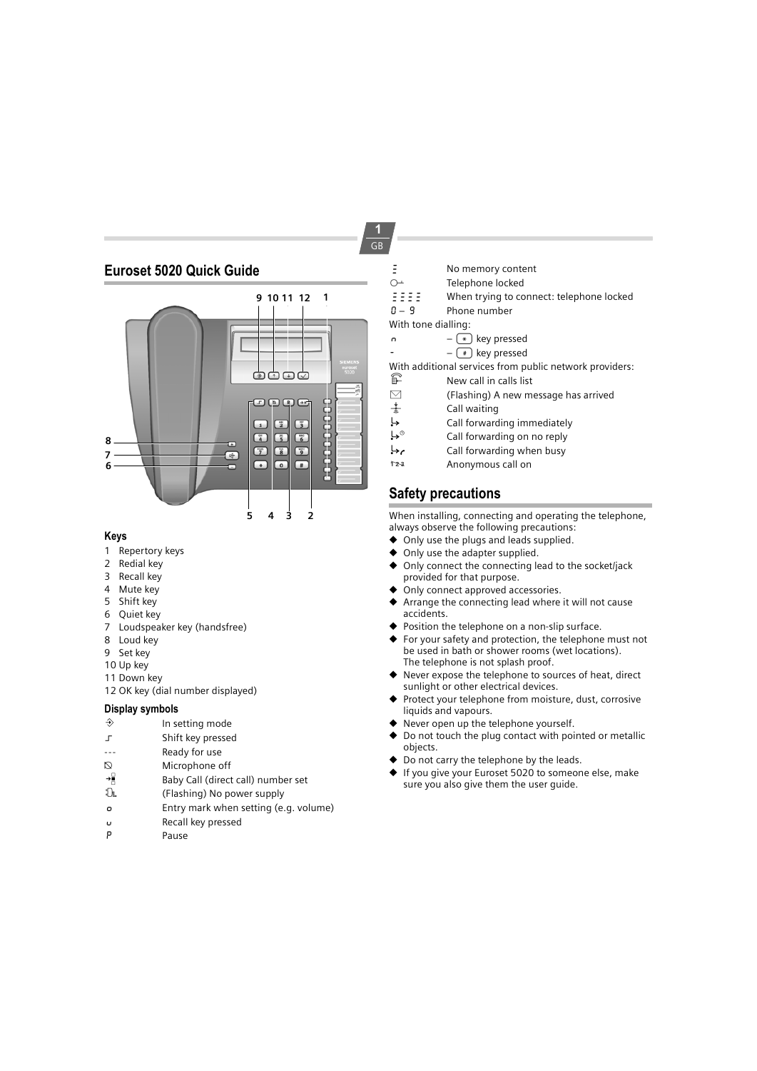## **Euroset 5020 Quick Guide**



## **Keys**

- 1 Repertory keys
- 2 Redial key
- 3 Recall key
- 4 Mute key
- 5 Shift key 6 Quiet key
- 7 Loudspeaker key (handsfree)
- 8 Loud key
- 9 Set key
- 10 Up key
- 11 Down key
- 12 OK key (dial number displayed)

## **Display symbols**

- $\Rightarrow$  In setting mode
- ‡ Shift key pressed
- --- Ready for use
- 
- $\bigotimes$  Microphone off<br>
Baby Call (direct  $\begin{array}{r} \rightarrow \mathbb{B} \\ \text{B} \end{array}$  Baby Call (direct call) number set  $\mathbb{D}$
- ‰ (Flashing) No power supply
- o Entry mark when setting (e.g. volume)
- u Recall key pressed
- P Pause
- $\overline{z}$  No memory content
- ${\supseteq}$  Telephone locked<br> ${\supseteq}$   ${\supseteq}$   ${\supseteq}$  Telephone locked
	- When trying to connect: telephone locked
- 0 9 Phone number
- With tone dialling:
- n  $\left(\frac{1}{2}\right)$  key pressed<br> $\left(\frac{1}{2}\right)$  key pressed
	- $(*)$  key pressed

With additional services from public network providers:

- $\begin{array}{cc} \widehat{\mathbb{F}} & \qquad \qquad \mathsf{New} \text{ call in calls list} \\ \boxdot & \qquad \qquad \mathsf{(Flashina) \text{ } A new m} \end{array}$
- $\Box$  (Flashing) A new message has arrived  $\frac{1}{3}$  Call waiting
- $\frac{1}{2}$  Call waiting<br>
Call forward
- 
- $\overleftrightarrow{\phantom{A}}$  Call forwarding immediately<br> $\overleftrightarrow{\phantom{A}}$  Call forwarding on no reply
- $\overleftrightarrow{\cdot}^{\circ}$  Call forwarding on no reply<br>Call forwarding when busy  $\overleftrightarrow{C}$  Call forwarding when busy
- Anonymous call on

## **Safety precautions**

When installing, connecting and operating the telephone, always observe the following precautions:

- $\bullet$  Only use the plugs and leads supplied.
- ◆ Only use the adapter supplied.<br>◆ Only connect the connecting le
- ◆ Only connect the connecting lead to the socket/jack provided for that purpose.
- Only connect approved accessories.
- Arrange the connecting lead where it will not cause accidents.
- Position the telephone on a non-slip surface.
- For your safety and protection, the telephone must not be used in bath or shower rooms (wet locations). The telephone is not splash proof.
- Never expose the telephone to sources of heat, direct sunlight or other electrical devices.
- Protect your telephone from moisture, dust, corrosive liquids and vapours.
- Never open up the telephone yourself.
- Do not touch the plug contact with pointed or metallic objects.
- Do not carry the telephone by the leads.
- ◆ If you give your Euroset 5020 to someone else, make sure you also give them the user guide.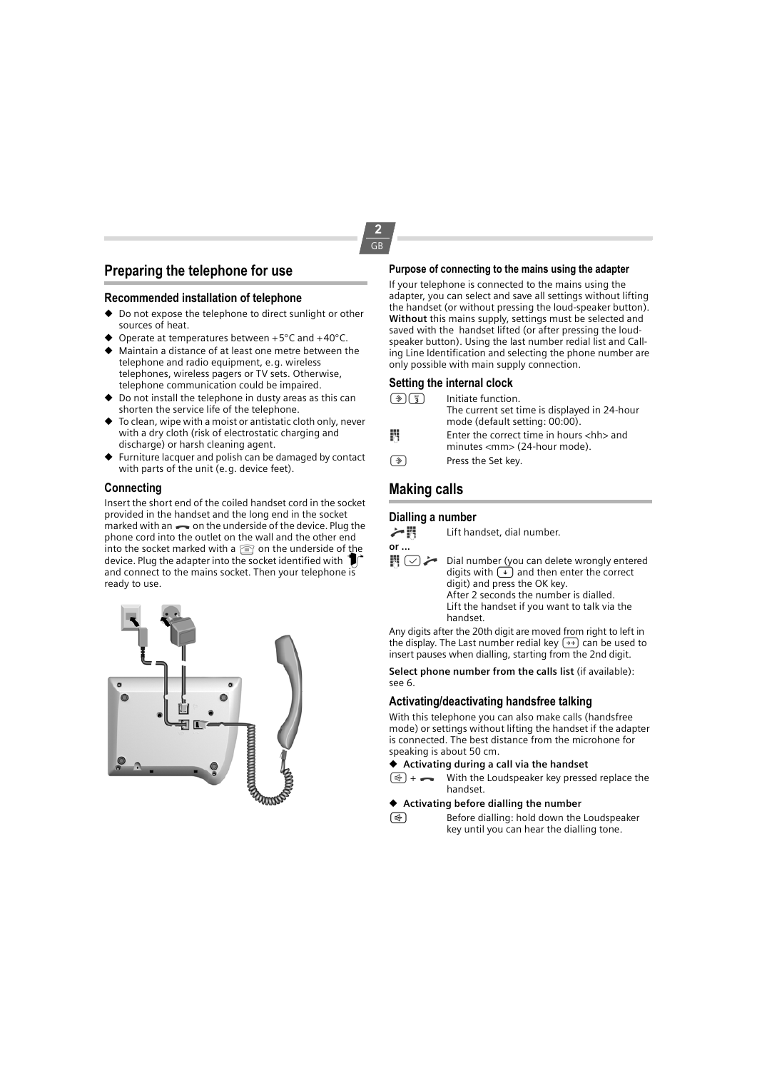## **Preparing the telephone for use**

#### **Recommended installation of telephone**

- ◆ Do not expose the telephone to direct sunlight or other sources of heat.
- Operate at temperatures between +5 $\degree$ C and +40 $\degree$ C.
- Maintain a distance of at least one metre between the telephone and radio equipment, e.g. wireless telephones, wireless pagers or TV sets. Otherwise, telephone communication could be impaired.
- ◆ Do not install the telephone in dusty areas as this can shorten the service life of the telephone.
- ◆ To clean, wipe with a moist or antistatic cloth only, never with a dry cloth (risk of electrostatic charging and discharge) or harsh cleaning agent.
- ◆ Furniture lacquer and polish can be damaged by contact with parts of the unit (e.g. device feet).

#### **Connecting**

Insert the short end of the coiled handset cord in the socket provided in the handset and the long end in the socket marked with an  $\rightarrow$  on the underside of the device. Plug the phone cord into the outlet on the wall and the other end into the socket marked with a  $\textcircled{\tiny{}}$  on the underside of the device. Plug the adapter into the socket identified with  $\textcircled{\tiny{}}$ and connect to the mains socket. Then your telephone is ready to use.



#### **Purpose of connecting to the mains using the adapter**

If your telephone is connected to the mains using the adapter, you can select and save all settings without lifting the handset (or without pressing the loud-speaker button). **Without** this mains supply, settings must be selected and saved with the handset lifted (or after pressing the loudspeaker button). Using the last number redial list and Calling Line Identification and selecting the phone number are only possible with main supply connection.

#### **Setting the internal clock**

|               | Initiate function.<br>The current set time is displayed in 24-hour<br>mode (default setting: 00:00). |
|---------------|------------------------------------------------------------------------------------------------------|
| М             | Enter the correct time in hours <hh> and<br/>minutes <mm> (24-hour mode).</mm></hh>                  |
| $\rightarrow$ | Press the Set key.                                                                                   |

## **Making calls**

#### **Dialling a number**

 $\blacktriangleright$   $\blacksquare$  Lift handset, dial number.

**or ...**

 $\blacksquare$   $\heartsuit$   $\blacktriangleright$  Dial number (you can delete wrongly entered digits with  $\overrightarrow{A}$  and then enter the correct digit) and press the OK key. After 2 seconds the number is dialled. Lift the handset if you want to talk via the handset.

Any digits after the 20th digit are moved from right to left in the display. The Last number redial key  $\rightarrow$  can be used to insert pauses when dialling, starting from the 2nd digit.

**Select phone number from the calls list** (if available): see 6.

#### **Activating/deactivating handsfree talking**

With this telephone you can also make calls (handsfree mode) or settings without lifting the handset if the adapter is connected. The best distance from the microhone for speaking is about 50 cm.

#### ◆ **Activating during a call via the handset**

 $(\overline{\mathbb{A}})$  +  $\longrightarrow$  With the Loudspeaker key pressed replace the handset.

#### ◆ **Activating before dialling the number**

 $\sqrt{4}$  Before dialling: hold down the Loudspeaker key until you can hear the dialling tone.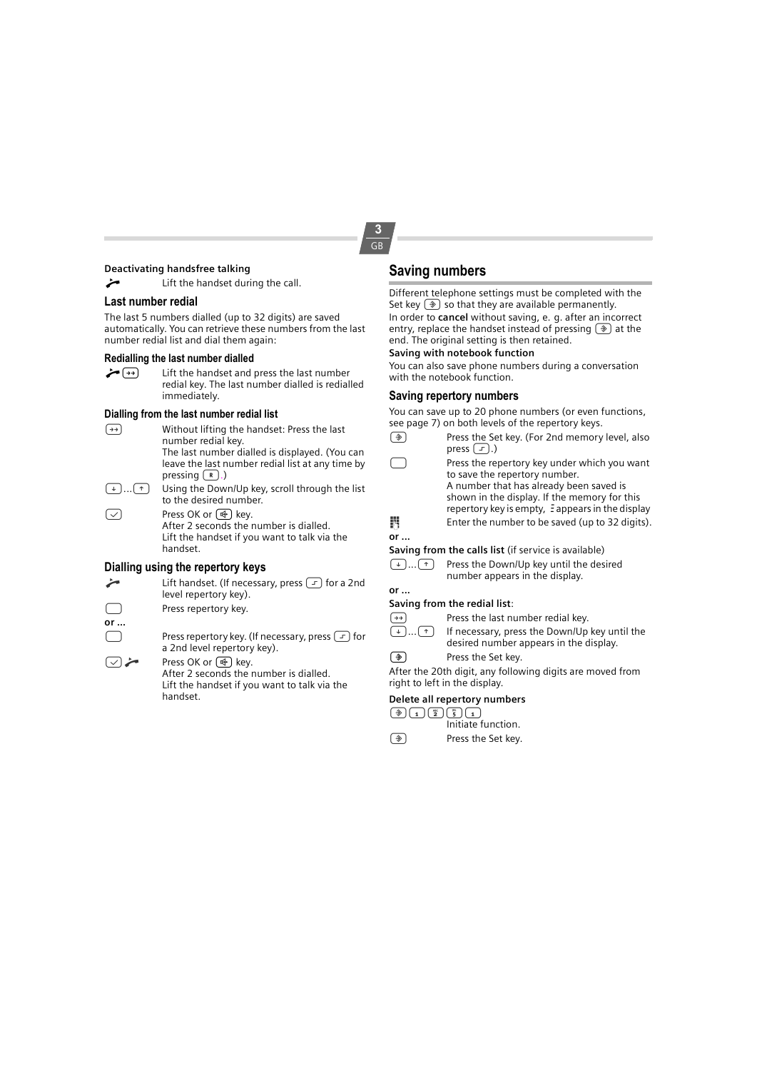#### **Deactivating handsfree talking**

Lift the handset during the call.

#### **Last number redial**

The last 5 numbers dialled (up to 32 digits) are saved automatically. You can retrieve these numbers from the last number redial list and dial them again:

#### **Redialling the last number dialled**

 $\leftarrow \rightarrow$  Lift the handset and press the last number redial key. The last number dialled is redialled immediately.

#### **Dialling from the last number redial list**

 $(\rightarrow)$  Without lifting the handset: Press the last number redial key. The last number dialled is displayed. (You can leave the last number redial list at any time by pressing  $(\mathbb{R})$ .)  $(\rightarrow)$ ... $(\rightarrow)$  Using the Down/Up key, scroll through the list to the desired number.  $\boxed{\smile}$  Press OK or  $\boxed{\uparrow\uparrow}$  key. After 2 seconds the number is dialled. Lift the handset if you want to talk via the handset.

## **Dialling using the repertory keys**

- Lift handset. (If necessary, press  $\boxed{-}$  for a 2nd level repertory key). **The Press repertory key. or ...**  $\Box$  Press repertory key. (If necessary, press  $\Box$ ) for
	- a 2nd level repertory key).
- Press OK or  $(\overline{\mathbb{Q}})$  key. After 2 seconds the number is dialled. Lift the handset if you want to talk via the handset.

## **Saving numbers**

Different telephone settings must be completed with the Set key  $(\widehat{\bullet})$  so that they are available permanently. In order to **cancel** without saving, e. g. after an incorrect entry, replace the handset instead of pressing  $\circledast$  at the end. The original setting is then retained.

#### **Saving with notebook function**

You can also save phone numbers during a conversation with the notebook function.

#### **Saving repertory numbers**

You can save up to 20 phone numbers (or even functions, see page 7) on both levels of the repertory keys.

- $\circledast$  Press the Set key. (For 2nd memory level, also press  $\boxed{-}$ .)
- **COLLET IS PRESS THE REPERT OF STARK** Press the repertory key under which you want to save the repertory number. A number that has already been saved is shown in the display. If the memory for this repertory key is empty, Eappears in the display **IN** Enter the number to be saved (up to 32 digits).

## **or ...**

**Saving from the calls list** (if service is available)

 $(\cdot)$ ... $(\cdot)$  Press the Down/Up key until the desired number appears in the display.

## **or ...**

- **Saving from the redial list**:
- $\overbrace{(\cdot)}^{\rightarrow}$  Press the last number redial key.<br>  $\overbrace{(\cdot)}^{\rightarrow}$  If necessary, press the Down/Up
- If necessary, press the Down/Up key until the desired number appears in the display.
- $\circled{)}$  Press the Set key.

After the 20th digit, any following digits are moved from right to left in the display.

#### **Delete all repertory numbers**

 $\bigcircled{4} \bigcircled{1} \bigcircled{1} \bigcircled{2} \bigcircled{5} \bigcircled{1}$ 

- Initiate function.
- ? Press the Set key.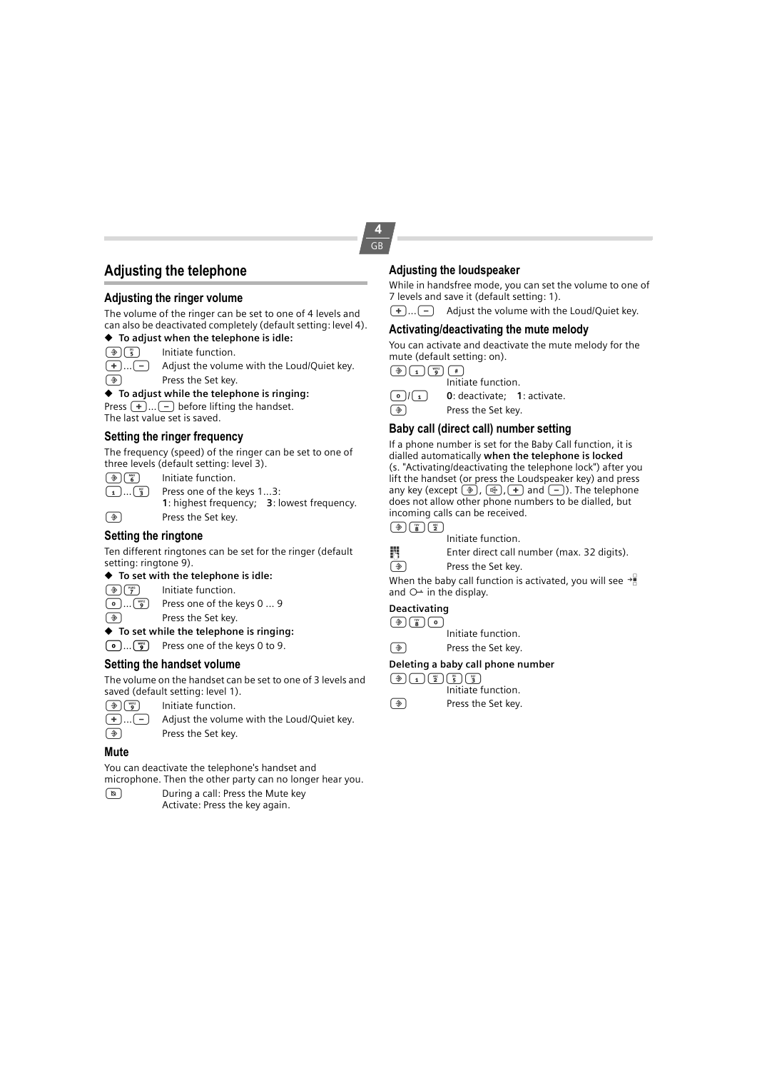## **Adjusting the telephone**

#### **Adjusting the ringer volume**

The volume of the ringer can be set to one of 4 levels and can also be deactivated completely (default setting: level 4). ◆ **To adjust when the telephone is idle:**

## $\circled{2}$   $\circled{5}$  Initiate function.



 $\overline{+}$ ... $\overline{(-)}$  Adjust the volume with the Loud/Quiet key. ? Press the Set key.

#### ◆ **To adjust while the telephone is ringing:**

Press  $\left(\frac{1}{2}, \ldots\right)$  before lifting the handset. The last value set is saved.

## **Setting the ringer frequency**

The frequency (speed) of the ringer can be set to one of three levels (default setting: level 3).

| $\left( \frac{1}{2} \right) \left( \frac{mg}{6} \right)$                | Initiate function.                         |  |
|-------------------------------------------------------------------------|--------------------------------------------|--|
| $\begin{pmatrix} 1 \end{pmatrix}$ $\begin{pmatrix} 3 \ 3 \end{pmatrix}$ | Press one of the keys 13:                  |  |
|                                                                         | 1: highest frequency; 3: lowest frequency. |  |
| $(\triangle)$                                                           | Press the Set key.                         |  |

#### **Setting the ringtone**

Ten different ringtones can be set for the ringer (default setting: ringtone 9).

### ◆ **To set with the telephone is idle:**

- $\overbrace{\bullet}^{x}$  Initiate function.<br>  $\overbrace{\bullet}^{x}$  Press one of the
- $\begin{array}{ll}\n\boxed{\bullet} \dots \boxed{\bullet} \\
\hline\n\end{array}$  Press one of the keys 0 ... 9<br>
Press the Set key.
	- Press the Set key.
- ◆ **To set while the telephone is ringing:**
- $\boxed{\bullet}$ ... $\boxed{\bullet}$  Press one of the keys 0 to 9.

#### **Setting the handset volume**

The volume on the handset can be set to one of 3 levels and saved (default setting: level 1).

- $\circled{2}$   $\circled{3}$  Initiate function.
- $\overline{+}\dots$   $\overline{-}$  Adjust the volume with the Loud/Quiet key.<br>  $\widehat{+}$  Press the Set key.
	- Press the Set key.

#### **Mute**

You can deactivate the telephone's handset and

- microphone. Then the other party can no longer hear you.
- During a call: Press the Mute key Activate: Press the key again.

## **Adjusting the loudspeaker**

While in handsfree mode, you can set the volume to one of 7 levels and save it (default setting: 1).

 $\overline{+}$ ... $\overline{-}$  Adjust the volume with the Loud/Quiet key.

## **Activating/deactivating the mute melody**

You can activate and deactivate the mute melody for the mute (default setting: on).

 $\left(\overline{\mathcal{D}}\right)\left(\overline{1}\right)\left(\overline{\mathcal{D}}\right)\left(\overline{\mathcal{D}}\right)$ Initiate function.



**0**) **0**: deactivate; **1**: activate.<br> **9** Press the Set key.

Press the Set key.

### **Baby call (direct call) number setting**

If a phone number is set for the Baby Call function, it is dialled automatically **when the telephone is locked** (s. "Activating/deactivating the telephone lock") after you lift the handset (or press the Loudspeaker key) and press any key (except  $\circledast$ ),  $\circledast$ ,  $\leftarrow$ ) and  $\circledast$ ). The telephone does not allow other phone numbers to be dialled, but incoming calls can be received.



Initiate function.

 $\blacksquare$  Enter direct call number (max. 32 digits).

 $\circled{)}$  Press the Set key.

When the baby call function is activated, you will see  $\rightarrow \mathbb{R}$ and  $O+$  in the display.

## **Deactivating**

 $\circledast$ 

Initiate function.  $\circled{)}$  Press the Set key.

#### **Deleting a baby call phone number**

 $\boxed{\bigcircledast}\boxed{1}\boxed{\bigcircledast}\boxed{\bigcircledast}$ 

- Initiate function.
- $\circled{)}$  Press the Set key.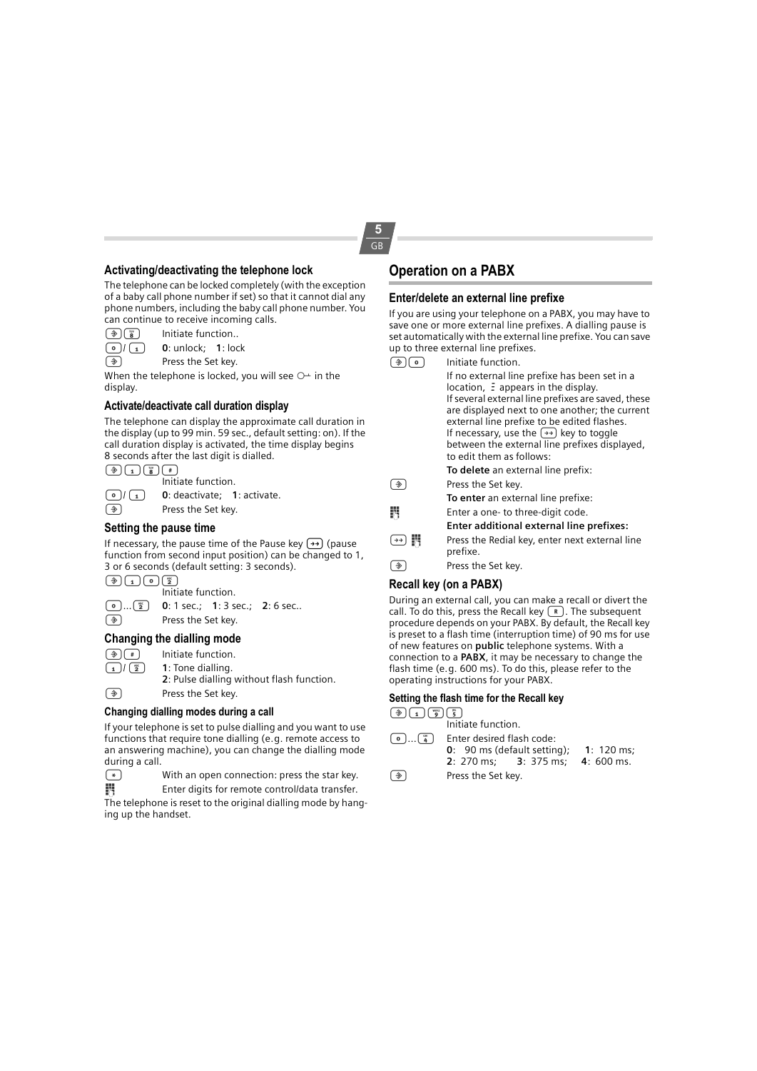#### **Activating/deactivating the telephone lock**

The telephone can be locked completely (with the exception of a baby call phone number if set) so that it cannot dial any phone numbers, including the baby call phone number. You can continue to receive incoming calls.

| $\bigcirc$ $\bigcirc$ |  | Initiate function |  |
|-----------------------|--|-------------------|--|

| .                       |                            |  |
|-------------------------|----------------------------|--|
| $\bigcirc$ / $\bigcirc$ | <b>0</b> : unlock; 1: lock |  |

? Press the Set key.

When the telephone is locked, you will see  $O^{\perp}$  in the display.

#### **Activate/deactivate call duration display**

The telephone can display the approximate call duration in the display (up to 99 min. 59 sec., default setting: on). If the call duration display is activated, the time display begins 8 seconds after the last digit is dialled.

 $\circledast$   $\circledast$   $\circledast$   $\circledast$ 

Initiate function.

 $\begin{bmatrix} 0 \end{bmatrix}$  **0**: deactivate; **1**: activate.

 $\circled{)}$  Press the Set key.

#### **Setting the pause time**

If necessary, the pause time of the Pause key  $\rightarrow$ ) (pause function from second input position) can be changed to 1, 3 or 6 seconds (default setting: 3 seconds).

 $\circledast \bullet \bullet \bullet \bullet \bullet$ Initiate function.

0...2 **0**: 1 sec.; **1**: 3 sec.; **2**: 6 sec.. ? Press the Set key.

#### **Changing the dialling mode**

 $\bigcirc$   $\bigcirc$   $\bigcirc$  Initiate function.<br>  $\bigcirc$   $\bigcirc$   $\bigcirc$  1: Tone dialling. 1: Tone dialling.

**2**: Pulse dialling without flash function.

 $\circled{)}$  Press the Set key.

#### **Changing dialling modes during a call**

If your telephone is set to pulse dialling and you want to use functions that require tone dialling (e.g. remote access to an answering machine), you can change the dialling mode during a call.

( $\overline{\ast}$ ) With an open connection: press the star key.<br>
Enter digits for remote control/data transfer.

Enter digits for remote control/data transfer.

The telephone is reset to the original dialling mode by hanging up the handset.

## **Operation on a PABX**

#### **Enter/delete an external line prefixe**

If you are using your telephone on a PABX, you may have to save one or more external line prefixes. A dialling pause is set automatically with the external line prefixe. You can save up to three external line prefixes.

|   | Initiate function.                                                                                                                                                                                                                                                                           |
|---|----------------------------------------------------------------------------------------------------------------------------------------------------------------------------------------------------------------------------------------------------------------------------------------------|
|   | If no external line prefixe has been set in a<br>location, $\Xi$ appears in the display.<br>If several external line prefixes are saved, these<br>are displayed next to one another; the current<br>external line prefixe to be edited flashes.<br>If necessary, use the $(4)$ key to toggle |
|   | between the external line prefixes displayed,<br>to edit them as follows:                                                                                                                                                                                                                    |
|   | To delete an external line prefix:                                                                                                                                                                                                                                                           |
|   | Press the Set key.                                                                                                                                                                                                                                                                           |
|   | To enter an external line prefixe:                                                                                                                                                                                                                                                           |
| M | Enter a one-to three-digit code.                                                                                                                                                                                                                                                             |
|   | Enter additional external line prefixes:                                                                                                                                                                                                                                                     |
|   | Press the Redial key, enter next external line<br>prefixe.                                                                                                                                                                                                                                   |
|   | Press the Set key.                                                                                                                                                                                                                                                                           |

#### **Recall key (on a PABX)**

During an external call, you can make a recall or divert the call. To do this, press the Recall key  $\left(\mathbb{R}\right)$ . The subsequent procedure depends on your PABX. By default, the Recall key is preset to a flash time (interruption time) of 90 ms for use of new features on **public** telephone systems. With a connection to a **PABX**, it may be necessary to change the flash time (e.g. 600 ms). To do this, please refer to the operating instructions for your PABX.

#### **Setting the flash time for the Recall key**

 $\bigcirc$   $\bigcirc$   $\bigcirc$   $\bigcirc$   $\bigcirc$   $\bigcirc$   $\bigcirc$   $\bigcirc$   $\bigcirc$ 

- Initiate function.
- $\boxed{\odot}$ ... $\boxed{\frac{\circ}{4}}$  Enter desired flash code: **0**: 90 ms (default setting); **1**: 120 ms; **3**: 375 ms:  $\circled{)}$  Press the Set key.
-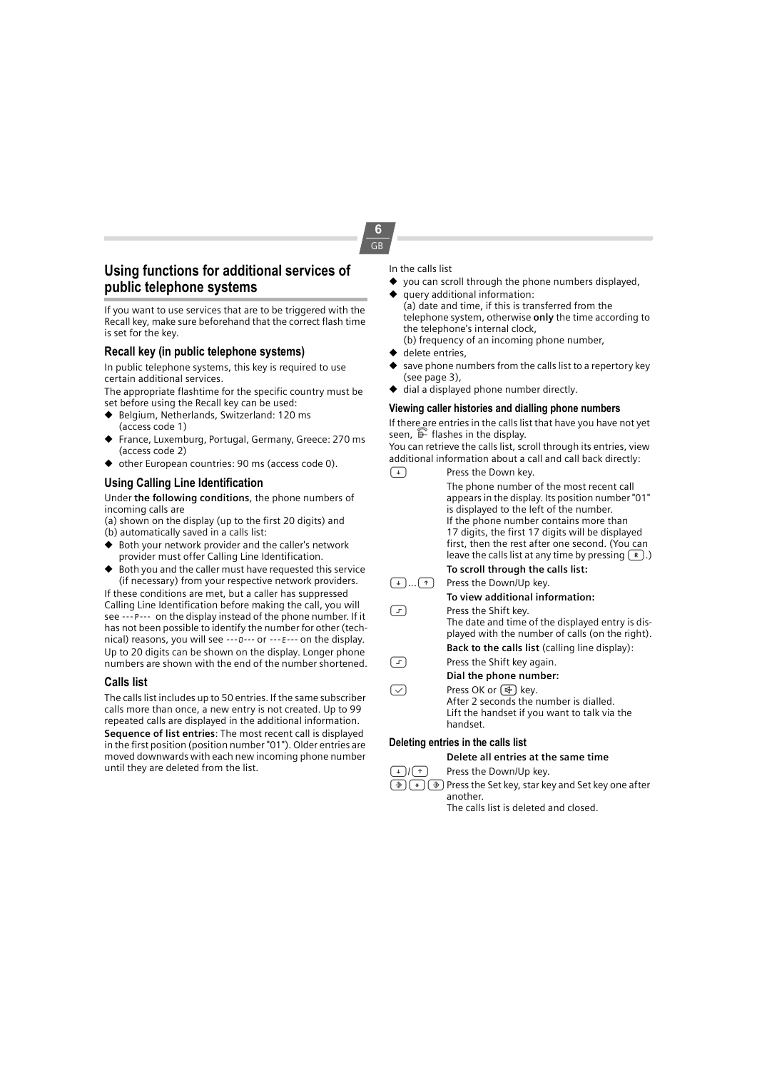## **Using functions for additional services of public telephone systems**

If you want to use services that are to be triggered with the Recall key, make sure beforehand that the correct flash time is set for the key.

## **Recall key (in public telephone systems)**

In public telephone systems, this key is required to use certain additional services.

The appropriate flashtime for the specific country must be set before using the Recall key can be used:

- ◆ Belgium, Netherlands, Switzerland: 120 ms (access code 1)
- France, Luxemburg, Portugal, Germany, Greece: 270 ms (access code 2)
- ◆ other European countries: 90 ms (access code 0).

## **Using Calling Line Identification**

Under **the following conditions**, the phone numbers of incoming calls are

- (a) shown on the display (up to the first 20 digits) and (b) automatically saved in a calls list:
- ◆ Both your network provider and the caller's network provider must offer Calling Line Identification.
- ◆ Both you and the caller must have requested this service (if necessary) from your respective network providers.

If these conditions are met, but a caller has suppressed Calling Line Identification before making the call, you will see ---P--- on the display instead of the phone number. If it has not been possible to identify the number for other (technical) reasons, you will see ---0--- or ---E--- on the display. Up to 20 digits can be shown on the display. Longer phone numbers are shown with the end of the number shortened.

## **Calls list**

The calls list includes up to 50 entries. If the same subscriber calls more than once, a new entry is not created. Up to 99 repeated calls are displayed in the additional information. **Sequence of list entries**: The most recent call is displayed in the first position (position number "01"). Older entries are moved downwards with each new incoming phone number until they are deleted from the list.

#### In the calls list

**6** GB

- you can scroll through the phone numbers displayed, query additional information:
- (a) date and time, if this is transferred from the telephone system, otherwise **only** the time according to the telephone's internal clock, (b) frequency of an incoming phone number,
- delete entries,
- save phone numbers from the calls list to a repertory key (see page 3),
- dial a displayed phone number directly.

### **Viewing caller histories and dialling phone numbers**

If there are entries in the calls list that have you have not yet seen,  $\mathbb{F}$  flashes in the display.

You can retrieve the calls list, scroll through its entries, view additional information about a call and call back directly:

| $\downarrow$ | Press the Down key.                                                                                                                                                                                                                                                                                                                                    |
|--------------|--------------------------------------------------------------------------------------------------------------------------------------------------------------------------------------------------------------------------------------------------------------------------------------------------------------------------------------------------------|
|              | The phone number of the most recent call<br>appears in the display. Its position number "01"<br>is displayed to the left of the number.<br>If the phone number contains more than<br>17 digits, the first 17 digits will be displayed<br>first, then the rest after one second. (You can<br>leave the calls list at any time by pressing $(\kappa)$ .) |
|              | To scroll through the calls list:                                                                                                                                                                                                                                                                                                                      |
| $\uparrow$   | Press the Down/Up key.                                                                                                                                                                                                                                                                                                                                 |
|              | To view additional information:                                                                                                                                                                                                                                                                                                                        |
| $\Gamma$     | Press the Shift key.                                                                                                                                                                                                                                                                                                                                   |
|              | The date and time of the displayed entry is dis-<br>played with the number of calls (on the right).                                                                                                                                                                                                                                                    |
|              | <b>Back to the calls list</b> (calling line display):                                                                                                                                                                                                                                                                                                  |
| F            | Press the Shift key again.                                                                                                                                                                                                                                                                                                                             |
|              | Dial the phone number:                                                                                                                                                                                                                                                                                                                                 |
|              | Press OK or $(\oplus)$ key.<br>After 2 seconds the number is dialled.<br>Lift the handset if you want to talk via the<br>handset.                                                                                                                                                                                                                      |
|              | Deleting entries in the calls list                                                                                                                                                                                                                                                                                                                     |
|              | Delete all entries at the same time                                                                                                                                                                                                                                                                                                                    |
|              |                                                                                                                                                                                                                                                                                                                                                        |

 $\lceil \cdot \rceil / \lceil \cdot \rceil$  Press the Down/Up key.

 $(*)$   $(*)$   $(*)$  Press the Set key, star key and Set key one after another.

The calls list is deleted and closed.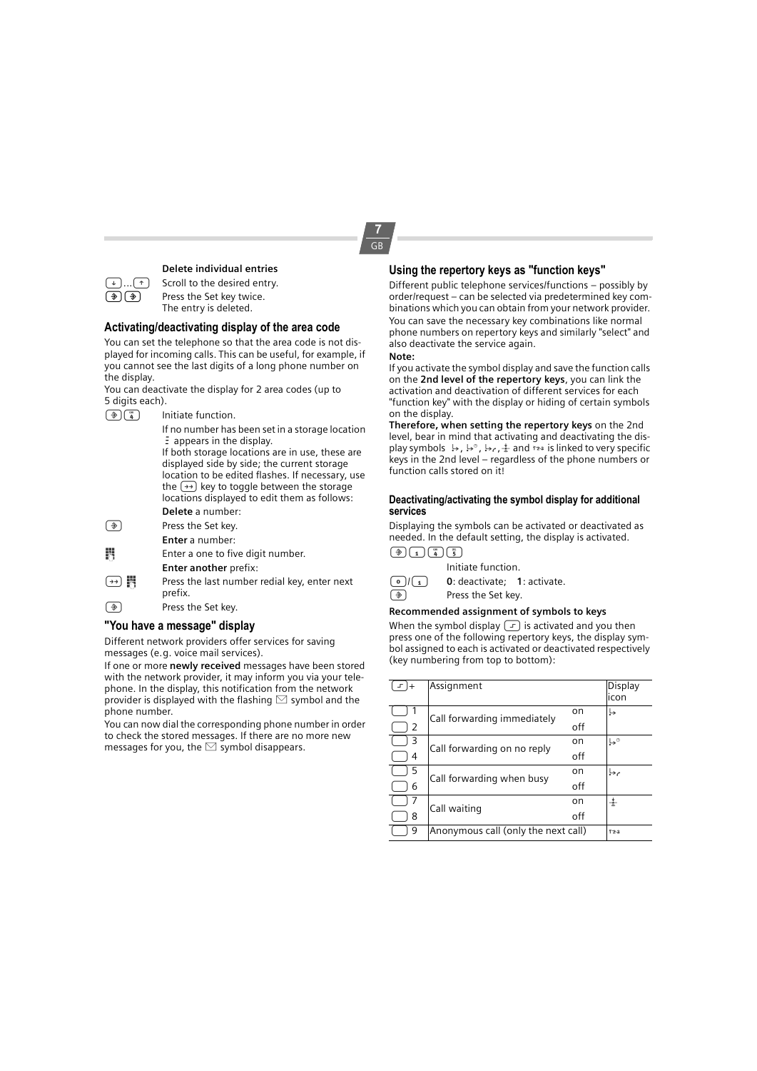**Delete individual entries**

 $\lceil \cdot \rceil$ ... $\lceil \cdot \rceil$  Scroll to the desired entry.

 $\circled{?}$  Press the Set key twice. The entry is deleted.

#### **Activating/deactivating display of the area code**

You can set the telephone so that the area code is not displayed for incoming calls. This can be useful, for example, if you cannot see the last digits of a long phone number on the display.

You can deactivate the display for 2 area codes (up to 5 digits each).

 $\left(\frac{4}{4}\right)$  Initiate function.

If no number has been set in a storage location  $\bar{z}$  appears in the display. If both storage locations are in use, these are displayed side by side; the current storage location to be edited flashes. If necessary, use the  $\rightarrow$  key to toggle between the storage locations displayed to edit them as follows: **Delete** a number:

#### $\circled{)}$  Press the Set key.

**Enter** a number:

 $\blacksquare$  Enter a one to five digit number.

- **Enter another** prefix:
- $(\rightarrow)$  **III** Press the last number redial key, enter next prefix.
- $\circled{)}$  Press the Set key.

## **"You have a message" display**

Different network providers offer services for saving messages (e.g. voice mail services).

If one or more **newly received** messages have been stored with the network provider, it may inform you via your telephone. In the display, this notification from the network provider is displayed with the flashing  $\boxtimes$  symbol and the phone number.

You can now dial the corresponding phone number in order to check the stored messages. If there are no more new messages for you, the  $\leq$  symbol disappears.

## **Using the repertory keys as "function keys"**

Different public telephone services/functions – possibly by order/request – can be selected via predetermined key combinations which you can obtain from your network provider. You can save the necessary key combinations like normal phone numbers on repertory keys and similarly "select" and also deactivate the service again.

#### **Note:**

If you activate the symbol display and save the function calls on the **2nd level of the repertory keys**, you can link the activation and deactivation of different services for each "function key" with the display or hiding of certain symbols on the display.

**Therefore, when setting the repertory keys** on the 2nd level, bear in mind that activating and deactivating the display symbols  $\mapsto$ ,  $\mapsto$ ,  $\mapsto$ ,  $\frac{4}{3}$  and  $\frac{1}{3}$  is linked to very specific keys in the 2nd level – regardless of the phone numbers or function calls stored on it!

#### **Deactivating/activating the symbol display for additional services**

Displaying the symbols can be activated or deactivated as needed. In the default setting, the display is activated.



Initiate function.



0/1 **0**: deactivate; **1**: activate.  $\circled{)}$  Press the Set key.

#### **Recommended assignment of symbols to keys**

When the symbol display  $\boxed{-}$  is activated and you then press one of the following repertory keys, the display symbol assigned to each is activated or deactivated respectively (key numbering from top to bottom):

| $\mathbf{F}$ | Assignment                          |     | Display<br>icon      |
|--------------|-------------------------------------|-----|----------------------|
|              | Call forwarding immediately         | on  | چا                   |
| 2            |                                     | off |                      |
| 3            | Call forwarding on no reply         | on  | $\mathsf{L}^{\circ}$ |
| 4            |                                     | off |                      |
| 5            | Call forwarding when busy           | on  | محيا                 |
| 6            |                                     | off |                      |
|              | Call waiting                        | on  | 士                    |
| 8            |                                     | off |                      |
| 9            | Anonymous call (only the next call) |     | 123                  |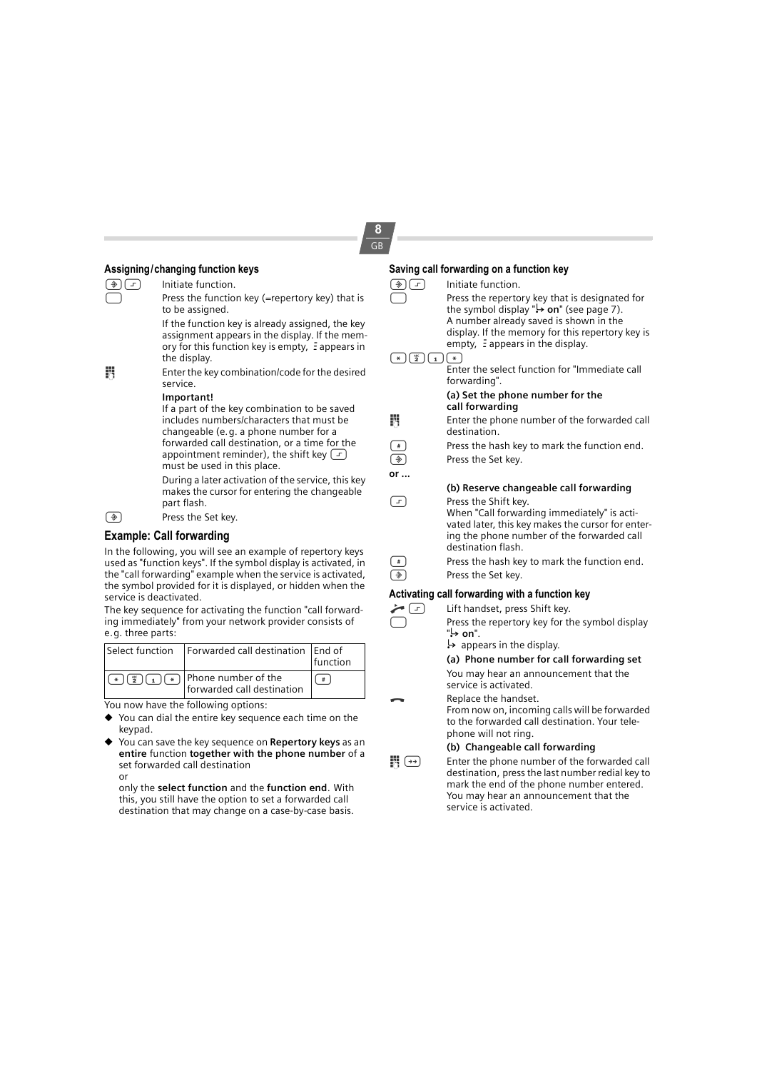# **8**

| Assigning/changing function keys |                                                                                                                                                                                                                                                                                                              |  |  |  |
|----------------------------------|--------------------------------------------------------------------------------------------------------------------------------------------------------------------------------------------------------------------------------------------------------------------------------------------------------------|--|--|--|
| ( ◈ )<br>[고]                     | Initiate function.                                                                                                                                                                                                                                                                                           |  |  |  |
|                                  | Press the function key (=repertory key) that is<br>to be assigned.                                                                                                                                                                                                                                           |  |  |  |
|                                  | If the function key is already assigned, the key<br>assignment appears in the display. If the mem-<br>ory for this function key is empty, $\Xi$ appears in<br>the display.                                                                                                                                   |  |  |  |
| 闁                                | Enter the key combination/code for the desired<br>service.                                                                                                                                                                                                                                                   |  |  |  |
|                                  | Important!                                                                                                                                                                                                                                                                                                   |  |  |  |
|                                  | If a part of the key combination to be saved<br>includes numbers/characters that must be<br>changeable (e.g. a phone number for a<br>forwarded call destination, or a time for the<br>appointment reminder), the shift key $\left( \right.$ $\left. \right.$ $\left. \right.$<br>must be used in this place. |  |  |  |
|                                  | During a later activation of the service, this key<br>makes the cursor for entering the changeable<br>part flash.                                                                                                                                                                                            |  |  |  |
| (◈                               | Press the Set key.                                                                                                                                                                                                                                                                                           |  |  |  |
|                                  | <b>Example: Call forwarding</b>                                                                                                                                                                                                                                                                              |  |  |  |
|                                  | In the following, you will see an example of repertory keys<br>used as "function keys". If the symbol display is activated, in<br>the "call forwarding" example when the service is activated,                                                                                                               |  |  |  |

used as "function keys". If the symbol display is activated, in the "call forwarding" example when the service is activated, the symbol provided for it is displayed, or hidden when the service is deactivated.

The key sequence for activating the function "call forwarding immediately" from your network provider consists of e.g. three parts:

| Select function   Forwarded call destination   End of                                                                                                | function |
|------------------------------------------------------------------------------------------------------------------------------------------------------|----------|
| $\left[\frac{1}{2}\right]\left(\frac{1}{2}\right)\left(\frac{1}{2}\right)\left(\frac{1}{2}\right)$ Phone number of the<br>forwarded call destination |          |

You now have the following options:

- ◆ You can dial the entire key sequence each time on the keypad.
- ◆ You can save the key sequence on **Repertory keys** as an **entire** function **together with the phone number** of a set forwarded call destination or

only the **select function** and the **function end**. With this, you still have the option to set a forwarded call destination that may change on a case-by-case basis.

| <b>GB</b> |                                                      |                                                                                                                                                                                                                                                  |  |  |  |
|-----------|------------------------------------------------------|--------------------------------------------------------------------------------------------------------------------------------------------------------------------------------------------------------------------------------------------------|--|--|--|
|           | Saving call forwarding on a function key             |                                                                                                                                                                                                                                                  |  |  |  |
|           | $\frac{1}{2}$ ) $\left( -1\right)$                   | Initiate function.                                                                                                                                                                                                                               |  |  |  |
|           |                                                      | Press the repertory key that is designated for<br>the symbol display " $\leftrightarrow$ on" (see page 7).<br>A number already saved is shown in the<br>display. If the memory for this repertory key is<br>empty, $\Xi$ appears in the display. |  |  |  |
|           | $\frac{1}{2}$ $\left( \frac{1}{1} \right)$<br>$\ast$ | $\sqrt{*}$<br>Enter the select function for "Immediate call<br>forwarding".                                                                                                                                                                      |  |  |  |
|           |                                                      | (a) Set the phone number for the<br>call forwarding                                                                                                                                                                                              |  |  |  |
|           | B                                                    | Enter the phone number of the forwarded call<br>destination.                                                                                                                                                                                     |  |  |  |
|           | $\#$                                                 | Press the hash key to mark the function end.                                                                                                                                                                                                     |  |  |  |
|           | $\Rightarrow$                                        | Press the Set key.                                                                                                                                                                                                                               |  |  |  |
|           | or                                                   |                                                                                                                                                                                                                                                  |  |  |  |
|           |                                                      | (b) Reserve changeable call forwarding                                                                                                                                                                                                           |  |  |  |
|           | F                                                    | Press the Shift key.<br>When "Call forwarding immediately" is acti-<br>vated later, this key makes the cursor for enter-<br>ing the phone number of the forwarded call<br>destination flash.                                                     |  |  |  |
|           | $\#$                                                 | Press the hash key to mark the function end.                                                                                                                                                                                                     |  |  |  |
|           | $\hat{\mathcal{D}}$                                  | Press the Set key.                                                                                                                                                                                                                               |  |  |  |
|           |                                                      | Activating call forwarding with a function key                                                                                                                                                                                                   |  |  |  |
|           | $\left( 1\right)$                                    | Lift handset, press Shift key.                                                                                                                                                                                                                   |  |  |  |
|           |                                                      | Press the repertory key for the symbol display<br>."on <del>د</del> ⊾"<br>$\rightarrow$ appears in the display.                                                                                                                                  |  |  |  |
|           |                                                      | (a) Phone number for call forwarding set                                                                                                                                                                                                         |  |  |  |
|           |                                                      | You may hear an announcement that the                                                                                                                                                                                                            |  |  |  |

Replace the handset. From now on, incoming calls will be forwarded to the forwarded call destination. Your telephone will not ring.

#### **(b) Changeable call forwarding**

service is activated.

**Fig.**  $\rightarrow$  Enter the phone number of the forwarded call destination, press the last number redial key to mark the end of the phone number entered. You may hear an announcement that the service is activated.